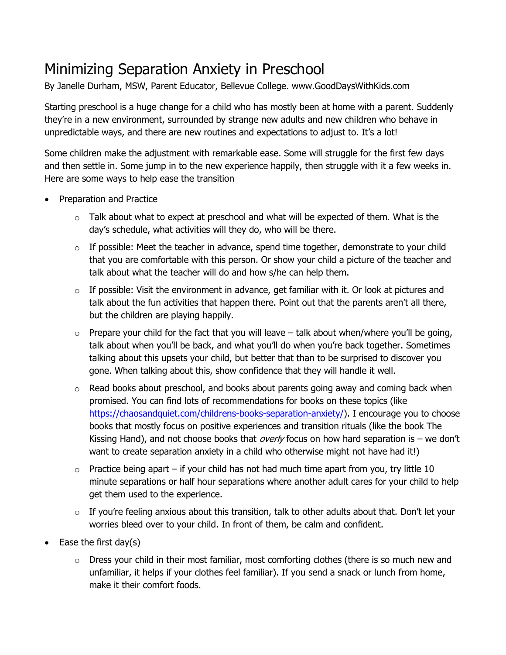## Minimizing Separation Anxiety in Preschool

By Janelle Durham, MSW, Parent Educator, Bellevue College. www.GoodDaysWithKids.com

Starting preschool is a huge change for a child who has mostly been at home with a parent. Suddenly they're in a new environment, surrounded by strange new adults and new children who behave in unpredictable ways, and there are new routines and expectations to adjust to. It's a lot!

Some children make the adjustment with remarkable ease. Some will struggle for the first few days and then settle in. Some jump in to the new experience happily, then struggle with it a few weeks in. Here are some ways to help ease the transition

- Preparation and Practice
	- $\circ$  Talk about what to expect at preschool and what will be expected of them. What is the day's schedule, what activities will they do, who will be there.
	- $\circ$  If possible: Meet the teacher in advance, spend time together, demonstrate to your child that you are comfortable with this person. Or show your child a picture of the teacher and talk about what the teacher will do and how s/he can help them.
	- $\circ$  If possible: Visit the environment in advance, get familiar with it. Or look at pictures and talk about the fun activities that happen there. Point out that the parents aren't all there, but the children are playing happily.
	- $\circ$  Prepare your child for the fact that you will leave talk about when/where you'll be going, talk about when you'll be back, and what you'll do when you're back together. Sometimes talking about this upsets your child, but better that than to be surprised to discover you gone. When talking about this, show confidence that they will handle it well.
	- $\circ$  Read books about preschool, and books about parents going away and coming back when promised. You can find lots of recommendations for books on these topics (like [https://chaosandquiet.com/childrens-books-separation-anxiety/\)](https://chaosandquiet.com/childrens-books-separation-anxiety/). I encourage you to choose books that mostly focus on positive experiences and transition rituals (like the book The Kissing Hand), and not choose books that *overly* focus on how hard separation is – we don't want to create separation anxiety in a child who otherwise might not have had it!)
	- $\circ$  Practice being apart if your child has not had much time apart from you, try little 10 minute separations or half hour separations where another adult cares for your child to help get them used to the experience.
	- $\circ$  If you're feeling anxious about this transition, talk to other adults about that. Don't let your worries bleed over to your child. In front of them, be calm and confident.
- Ease the first day $(s)$ 
	- $\circ$  Dress your child in their most familiar, most comforting clothes (there is so much new and unfamiliar, it helps if your clothes feel familiar). If you send a snack or lunch from home, make it their comfort foods.